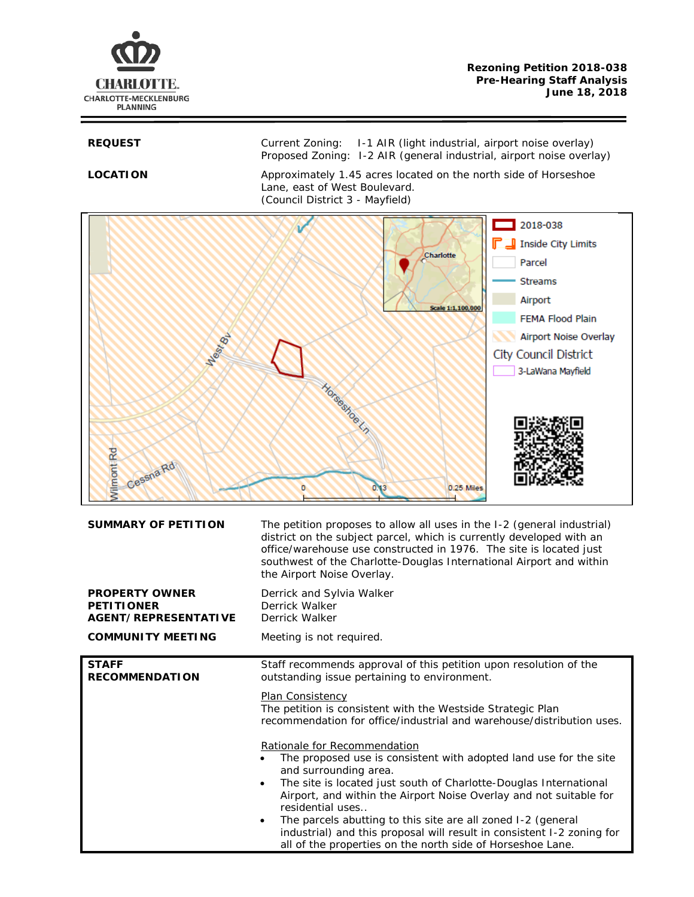

REQUEST Current Zoning: I-1 AIR (light industrial, airport noise overlay) Proposed Zoning: I-2 AIR (general industrial, airport noise overlay)

**LOCATION** Approximately 1.45 acres located on the north side of Horseshoe Lane, east of West Boulevard. (Council District 3 - Mayfield)



| <b>SUMMARY OF PETITION</b>                                                | The petition proposes to allow all uses in the I-2 (general industrial)<br>district on the subject parcel, which is currently developed with an<br>office/warehouse use constructed in 1976. The site is located just<br>southwest of the Charlotte-Douglas International Airport and within<br>the Airport Noise Overlay.                                                                                                                                                                                                                                                                                                                                                                                                                                                                           |
|---------------------------------------------------------------------------|------------------------------------------------------------------------------------------------------------------------------------------------------------------------------------------------------------------------------------------------------------------------------------------------------------------------------------------------------------------------------------------------------------------------------------------------------------------------------------------------------------------------------------------------------------------------------------------------------------------------------------------------------------------------------------------------------------------------------------------------------------------------------------------------------|
| <b>PROPERTY OWNER</b><br><b>PETITIONER</b><br><b>AGENT/REPRESENTATIVE</b> | Derrick and Sylvia Walker<br>Derrick Walker<br>Derrick Walker                                                                                                                                                                                                                                                                                                                                                                                                                                                                                                                                                                                                                                                                                                                                        |
| <b>COMMUNITY MEETING</b>                                                  | Meeting is not required.                                                                                                                                                                                                                                                                                                                                                                                                                                                                                                                                                                                                                                                                                                                                                                             |
| <b>STAFF</b><br><b>RECOMMENDATION</b>                                     | Staff recommends approval of this petition upon resolution of the<br>outstanding issue pertaining to environment.<br>Plan Consistency<br>The petition is consistent with the Westside Strategic Plan<br>recommendation for office/industrial and warehouse/distribution uses.<br>Rationale for Recommendation<br>The proposed use is consistent with adopted land use for the site<br>and surrounding area.<br>The site is located just south of Charlotte-Douglas International<br>$\bullet$<br>Airport, and within the Airport Noise Overlay and not suitable for<br>residential uses<br>The parcels abutting to this site are all zoned I-2 (general<br>٠<br>industrial) and this proposal will result in consistent I-2 zoning for<br>all of the properties on the north side of Horseshoe Lane. |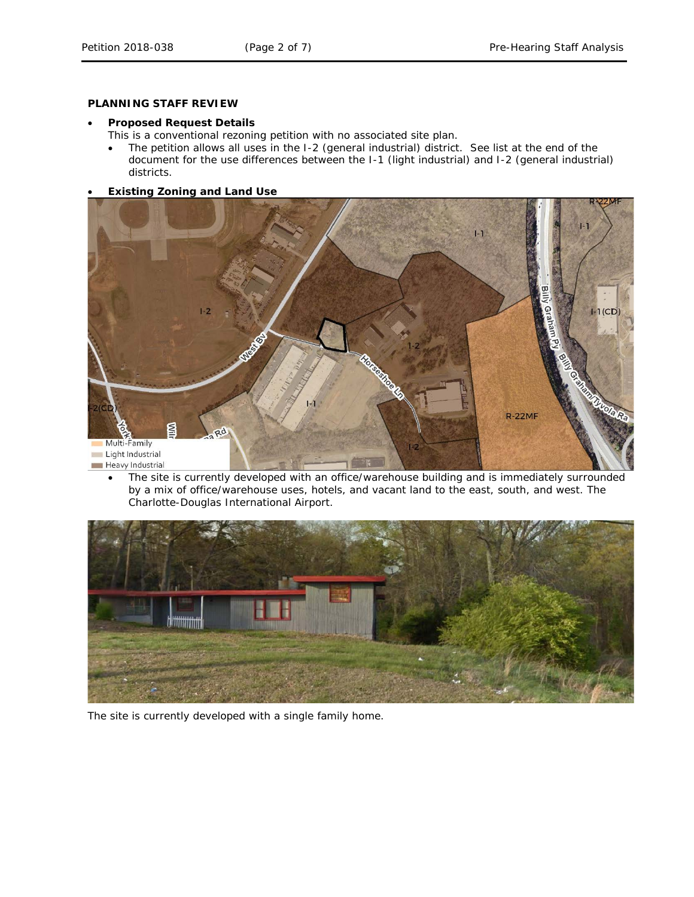# **PLANNING STAFF REVIEW**

#### • **Proposed Request Details**

This is a conventional rezoning petition with no associated site plan.

- The petition allows all uses in the I-2 (general industrial) district. See list at the end of the document for the use differences between the I-1 (light industrial) and I-2 (general industrial) districts.
- **Existing Zoning and Land Use**



• The site is currently developed with an office/warehouse building and is immediately surrounded by a mix of office/warehouse uses, hotels, and vacant land to the east, south, and west. The Charlotte-Douglas International Airport.



The site is currently developed with a single family home.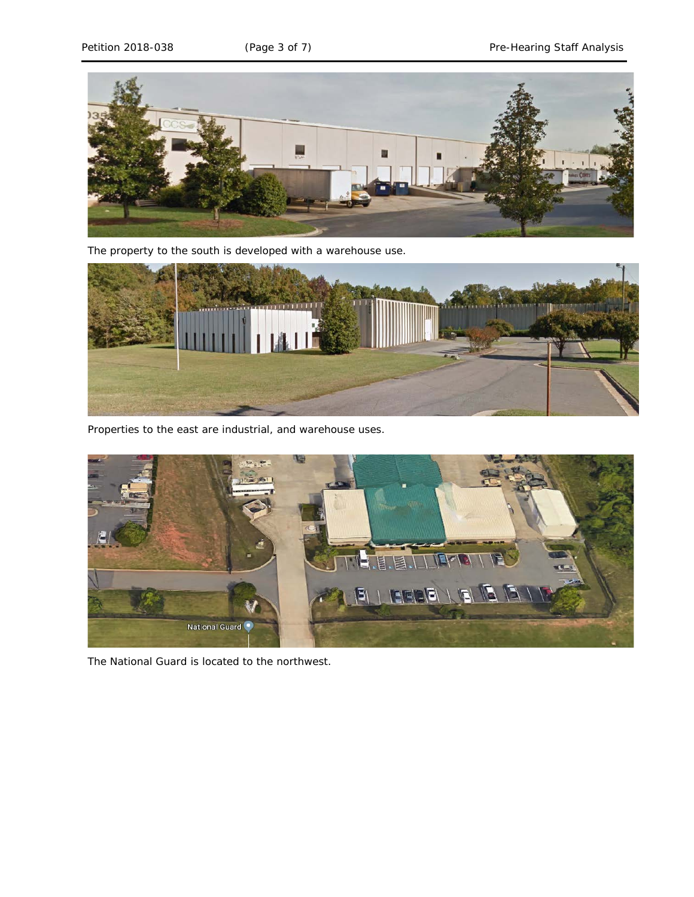

The property to the south is developed with a warehouse use.



Properties to the east are industrial, and warehouse uses.



The National Guard is located to the northwest.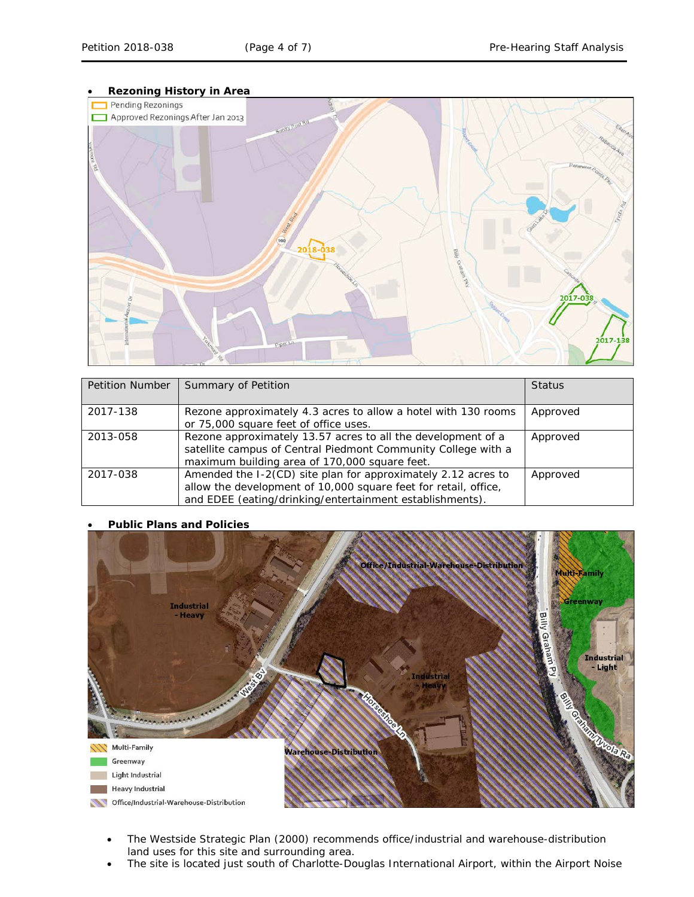

| <b>Petition Number</b> | Summary of Petition                                                                                                                                                                          | <b>Status</b> |
|------------------------|----------------------------------------------------------------------------------------------------------------------------------------------------------------------------------------------|---------------|
| 2017-138               | Rezone approximately 4.3 acres to allow a hotel with 130 rooms<br>or 75,000 square feet of office uses.                                                                                      | Approved      |
| 2013-058               | Rezone approximately 13.57 acres to all the development of a<br>satellite campus of Central Piedmont Community College with a<br>maximum building area of 170,000 square feet.               | Approved      |
| 2017-038               | Amended the I-2(CD) site plan for approximately 2.12 acres to<br>allow the development of 10,000 square feet for retail, office,<br>and EDEE (eating/drinking/entertainment establishments). | Approved      |





- The *Westside Strategic Plan* (2000) recommends office/industrial and warehouse-distribution land uses for this site and surrounding area.
- The site is located just south of Charlotte-Douglas International Airport, within the Airport Noise

#### • **Rezoning History in Area**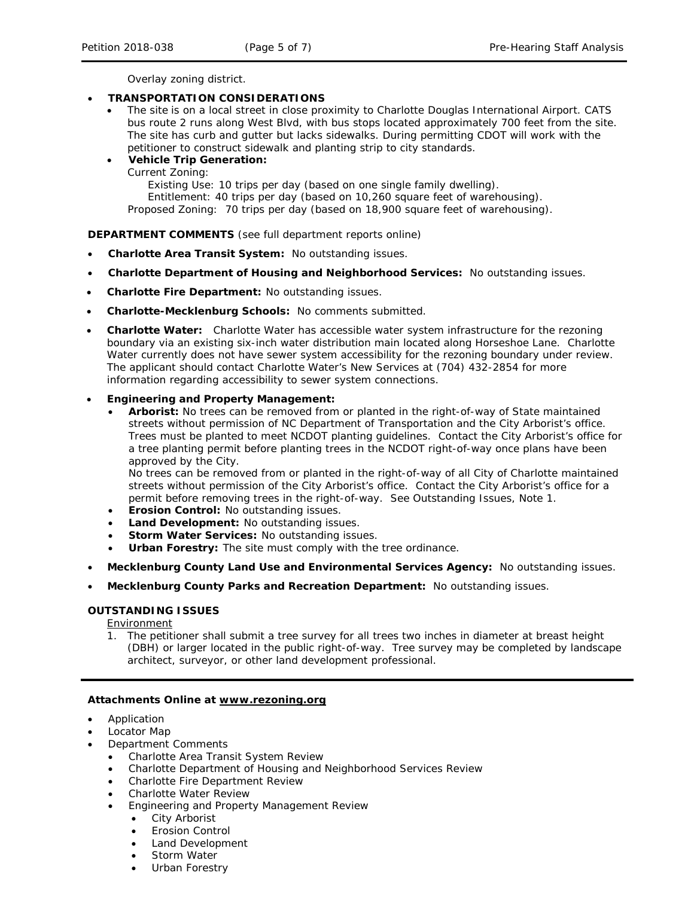Overlay zoning district.

# • **TRANSPORTATION CONSIDERATIONS**

• The site is on a local street in close proximity to Charlotte Douglas International Airport. CATS bus route 2 runs along West Blvd, with bus stops located approximately 700 feet from the site. The site has curb and gutter but lacks sidewalks. During permitting CDOT will work with the petitioner to construct sidewalk and planting strip to city standards.

# • **Vehicle Trip Generation:**

Current Zoning:

Existing Use: 10 trips per day (based on one single family dwelling). Entitlement: 40 trips per day (based on 10,260 square feet of warehousing). Proposed Zoning: 70 trips per day (based on 18,900 square feet of warehousing).

### **DEPARTMENT COMMENTS** (see full department reports online)

- **Charlotte Area Transit System:** No outstanding issues.
- **Charlotte Department of Housing and Neighborhood Services:** No outstanding issues.
- **Charlotte Fire Department:** No outstanding issues.
- **Charlotte-Mecklenburg Schools:** No comments submitted.
- **Charlotte Water:** Charlotte Water has accessible water system infrastructure for the rezoning boundary via an existing six-inch water distribution main located along Horseshoe Lane. Charlotte Water currently does not have sewer system accessibility for the rezoning boundary under review. The applicant should contact Charlotte Water's New Services at (704) 432-2854 for more information regarding accessibility to sewer system connections.

### • **Engineering and Property Management:**

• **Arborist:** No trees can be removed from or planted in the right-of-way of State maintained streets without permission of NC Department of Transportation and the City Arborist's office. Trees must be planted to meet NCDOT planting guidelines. Contact the City Arborist's office for a tree planting permit before planting trees in the NCDOT right-of-way once plans have been approved by the City.

No trees can be removed from or planted in the right-of-way of all City of Charlotte maintained streets without permission of the City Arborist's office. Contact the City Arborist's office for a permit before removing trees in the right-of-way. See Outstanding Issues, Note 1.

- **Erosion Control:** No outstanding issues.
- **Land Development:** No outstanding issues.
- **Storm Water Services:** No outstanding issues.
- **Urban Forestry:** The site must comply with the tree ordinance.
- **Mecklenburg County Land Use and Environmental Services Agency:** No outstanding issues.
- **Mecklenburg County Parks and Recreation Department:** No outstanding issues.

#### **OUTSTANDING ISSUES**

**Environment** 

1. The petitioner shall submit a tree survey for all trees two inches in diameter at breast height (DBH) or larger located in the public right-of-way. Tree survey may be completed by landscape architect, surveyor, or other land development professional.

# **Attachments Online at www.rezoning.org**

- Application
- Locator Map
- Department Comments
	- Charlotte Area Transit System Review
	- Charlotte Department of Housing and Neighborhood Services Review
	- Charlotte Fire Department Review
	- Charlotte Water Review
	- Engineering and Property Management Review
		- **City Arborist**
		- Erosion Control
		- Land Development
		- Storm Water Urban Forestry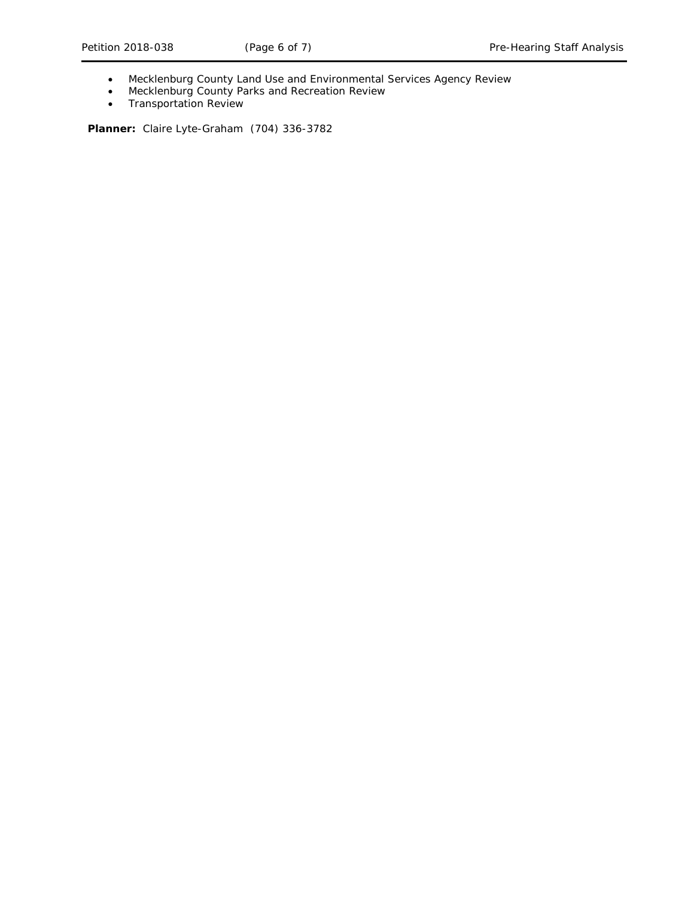- Mecklenburg County Land Use and Environmental Services Agency Review
- Mecklenburg County Parks and Recreation Review
- Transportation Review

**Planner:** Claire Lyte-Graham (704) 336-3782